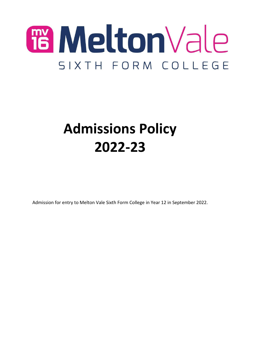

# **Admissions Policy 2022-23**

Admission for entry to Melton Vale Sixth Form College in Year 12 in September 2022.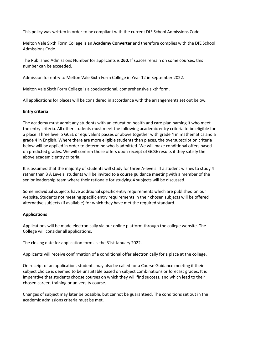This policy was written in order to be compliant with the current DfE School Admissions Code.

Melton Vale Sixth Form College is an **Academy Converter** and therefore complies with the DfE School Admissions Code.

The Published Admissions Number for applicants is **260**. If spaces remain on some courses, this number can be exceeded.

Admission for entry to Melton Vale Sixth Form College in Year 12 in September 2022.

Melton Vale Sixth Form College is a coeducational, comprehensive sixth form.

All applications for places will be considered in accordance with the arrangements set out below.

#### **Entry criteria**

The academy must admit any students with an education health and care plan naming it who meet the entry criteria. All other students must meet the following academic entry criteria to be eligible for a place: Three level 5 GCSE or equivalent passes or above together with grade 4 in mathematics and a grade 4 in English. Where there are more eligible students than places, the oversubscription criteria below will be applied in order to determine who is admitted. We will make conditional offers based on predicted grades. We will confirm those offers upon receipt of GCSE results if they satisfy the above academic entry criteria.

It is assumed that the majority of students will study for three A-levels. If a student wishes to study 4 rather than 3 A Levels, students will be invited to a course guidance meeting with a member of the senior leadership team where their rationale for studying 4 subjects will be discussed.

Some individual subjects have additional specific entry requirements which are published on our website. Students not meeting specific entry requirements in their chosen subjects will be offered alternative subjects (if available) for which they have met the required standard.

## **Applications**

Applications will be made electronically via our online platform through the college website. The College will consider all applications.

The closing date for application forms is the 31st January 2022.

Applicants will receive confirmation of a conditional offer electronically for a place at the college.

On receipt of an application, students may also be called for a Course Guidance meeting if their subject choice is deemed to be unsuitable based on subject combinations or forecast grades. It is imperative that students choose courses on which they will find success, and which lead to their chosen career, training or university course.

Changes of subject may later be possible, but cannot be guaranteed. The conditions set out in the academic admissions criteria must be met.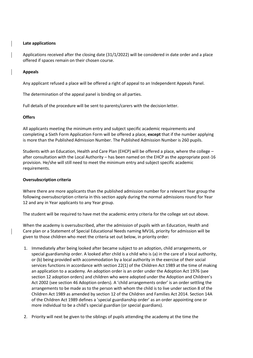## **Late applications**

Applications received after the closing date (31/1/2022) will be considered in date order and a place offered if spaces remain on their chosen course.

## **Appeals**

Any applicant refused a place will be offered a right of appeal to an Independent Appeals Panel.

The determination of the appeal panel is binding on all parties.

Full details of the procedure will be sent to parents/carers with the decision letter.

# **Offers**

All applicants meeting the minimum entry and subject specific academic requirements and completing a Sixth Form Application Form will be offered a place, **except** that if the number applying is more than the Published Admission Number. The Published Admission Number is 260 pupils.

Students with an Education, Health and Care Plan (EHCP) will be offered a place, where the college – after consultation with the Local Authority – has been named on the EHCP as the appropriate post-16 provision. He/she will still need to meet the minimum entry and subject specific academic requirements.

## **Oversubscription criteria**

Where there are more applicants than the published admission number for a relevant Year group the following oversubscription criteria in this section apply during the normal admissions round for Year 12 and any in Year applicants to any Year group.

The student will be required to have met the academic entry criteria for the college set out above.

When the academy is oversubscribed, after the admission of pupils with an Education, Health and Care plan or a Statement of Special Educational Needs naming MV16, priority for admission will be given to those children who meet the criteria set out below, in priority order:

- 1. Immediately after being looked after became subject to an adoption, child arrangements, or special guardianship order. A looked after child is a child who is (a) in the care of a local authority, or (b) being provided with accommodation by a local authority in the exercise of their social services functions in accordance with section 22(1) of the Children Act 1989 at the time of making an application to a academy. An adoption order is an order under the Adoption Act 1976 (see section 12 adoption orders) and children who were adopted under the Adoption and Children's Act 2002 (see section 46 Adoption orders). A 'child arrangements order' is an order settling the arrangements to be made as to the person with whom the child is to live under section 8 of the Children Act 1989 as amended by section 12 of the Children and Families Act 2014. Section 14A of the Children Act 1989 defines a 'special guardianship order' as an order appointing one or more individual to be a child's special guardian (or special guardians).
- 2. Priority will next be given to the siblings of pupils attending the academy at the time the